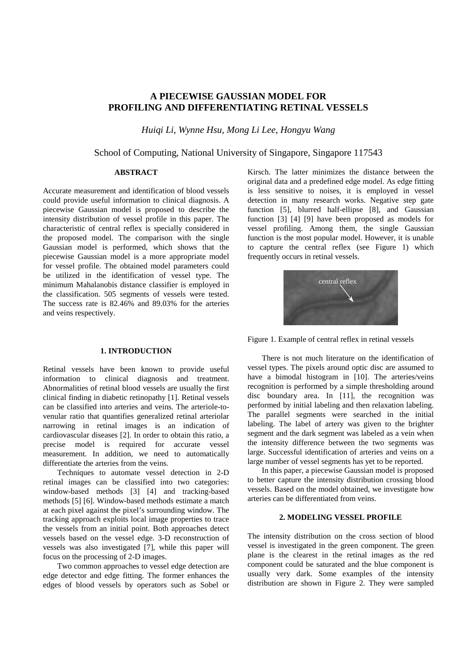# **A PIECEWISE GAUSSIAN MODEL FOR PROFILING AND DIFFERENTIATING RETINAL VESSELS**

*Huiqi Li, Wynne Hsu, Mong Li Lee, Hongyu Wang* 

## School of Computing, National University of Singapore, Singapore 117543

# **ABSTRACT**

Accurate measurement and identification of blood vessels could provide useful information to clinical diagnosis. A piecewise Gaussian model is proposed to describe the intensity distribution of vessel profile in this paper. The characteristic of central reflex is specially considered in the proposed model. The comparison with the single Gaussian model is performed, which shows that the piecewise Gaussian model is a more appropriate model for vessel profile. The obtained model parameters could be utilized in the identification of vessel type. The minimum Mahalanobis distance classifier is employed in the classification. 505 segments of vessels were tested. The success rate is 82.46% and 89.03% for the arteries and veins respectively.

#### **1. INTRODUCTION**

Retinal vessels have been known to provide useful information to clinical diagnosis and treatment. Abnormalities of retinal blood vessels are usually the first clinical finding in diabetic retinopathy [1]. Retinal vessels can be classified into arteries and veins. The arteriole-tovenular ratio that quantifies generalized retinal arteriolar narrowing in retinal images is an indication of cardiovascular diseases [2]. In order to obtain this ratio, a precise model is required for accurate vessel measurement. In addition, we need to automatically differentiate the arteries from the veins.

Techniques to automate vessel detection in 2-D retinal images can be classified into two categories: window-based methods [3] [4] and tracking-based methods [5] [6]. Window-based methods estimate a match at each pixel against the pixel's surrounding window. The tracking approach exploits local image properties to trace the vessels from an initial point. Both approaches detect vessels based on the vessel edge. 3-D reconstruction of vessels was also investigated [7], while this paper will focus on the processing of 2-D images.

Two common approaches to vessel edge detection are edge detector and edge fitting. The former enhances the edges of blood vessels by operators such as Sobel or

Kirsch. The latter minimizes the distance between the original data and a predefined edge model. As edge fitting is less sensitive to noises, it is employed in vessel detection in many research works. Negative step gate function [5], blurred half-ellipse [8], and Gaussian function [3] [4] [9] have been proposed as models for vessel profiling. Among them, the single Gaussian function is the most popular model. However, it is unable to capture the central reflex (see Figure 1) which frequently occurs in retinal vessels.



Figure 1. Example of central reflex in retinal vessels

There is not much literature on the identification of vessel types. The pixels around optic disc are assumed to have a bimodal histogram in [10]. The arteries/veins recognition is performed by a simple thresholding around disc boundary area. In [11], the recognition was performed by initial labeling and then relaxation labeling. The parallel segments were searched in the initial labeling. The label of artery was given to the brighter segment and the dark segment was labeled as a vein when the intensity difference between the two segments was large. Successful identification of arteries and veins on a large number of vessel segments has yet to be reported.

In this paper, a piecewise Gaussian model is proposed to better capture the intensity distribution crossing blood vessels. Based on the model obtained, we investigate how arteries can be differentiated from veins.

### **2. MODELING VESSEL PROFILE**

The intensity distribution on the cross section of blood vessel is investigated in the green component. The green plane is the clearest in the retinal images as the red component could be saturated and the blue component is usually very dark. Some examples of the intensity distribution are shown in Figure 2. They were sampled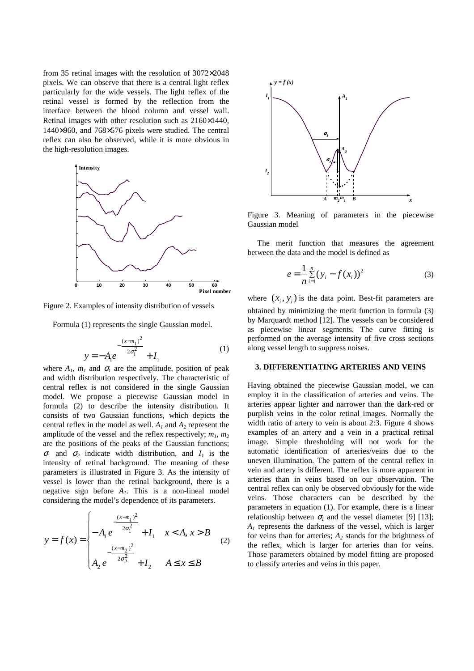from 35 retinal images with the resolution of 3072×2048 pixels. We can observe that there is a central light reflex particularly for the wide vessels. The light reflex of the retinal vessel is formed by the reflection from the interface between the blood column and vessel wall. Retinal images with other resolution such as 2160×1440, 1440×960, and 768×576 pixels were studied. The central reflex can also be observed, while it is more obvious in the high-resolution images.



Figure 2. Examples of intensity distribution of vessels

Formula (1) represents the single Gaussian model.

$$
y = -A_1 e^{-\frac{(x-m_1)^2}{2\sigma_1^2}} + I_1
$$
 (1)

where  $A_1$ ,  $m_1$  and  $\sigma_1$  are the amplitude, position of peak and width distribution respectively. The characteristic of central reflex is not considered in the single Gaussian model. We propose a piecewise Gaussian model in formula (2) to describe the intensity distribution. It consists of two Gaussian functions, which depicts the central reflex in the model as well.  $A_1$  and  $A_2$  represent the amplitude of the vessel and the reflex respectively;  $m_1$ ,  $m_2$ are the positions of the peaks of the Gaussian functions;  $\sigma_1$  and  $\sigma_2$  indicate width distribution, and  $I_1$  is the intensity of retinal background. The meaning of these parameters is illustrated in Figure 3. As the intensity of vessel is lower than the retinal background, there is a negative sign before *A1*. This is a non-lineal model considering the model's dependence of its parameters.

$$
y = f(x) = \begin{cases} -\frac{(x-m_1)^2}{2\sigma_1^2} + I_1 & x < A, x > B \\ -\frac{(x-m_2)^2}{2\sigma_2^2} + I_2 & A \le x \le B \end{cases}
$$
 (2)



Figure 3. Meaning of parameters in the piecewise Gaussian model

The merit function that measures the agreement between the data and the model is defined as

$$
e = \frac{1}{n} \sum_{i=1}^{n} (y_i - f(x_i))^2
$$
 (3)

where  $(x_i, y_i)$  is the data point. Best-fit parameters are obtained by minimizing the merit function in formula (3) by Marquardt method [12]. The vessels can be considered as piecewise linear segments. The curve fitting is performed on the average intensity of five cross sections along vessel length to suppress noises.

### **3. DIFFERENTIATING ARTERIES AND VEINS**

Having obtained the piecewise Gaussian model, we can employ it in the classification of arteries and veins. The arteries appear lighter and narrower than the dark-red or purplish veins in the color retinal images. Normally the width ratio of artery to vein is about 2:3. Figure 4 shows examples of an artery and a vein in a practical retinal image. Simple thresholding will not work for the automatic identification of arteries/veins due to the uneven illumination. The pattern of the central reflex in vein and artery is different. The reflex is more apparent in arteries than in veins based on our observation. The central reflex can only be observed obviously for the wide veins. Those characters can be described by the parameters in equation (1). For example, there is a linear relationship between  $\sigma_l$  and the vessel diameter [9] [13]; *A1* represents the darkness of the vessel, which is larger for veins than for arteries;  $A_2$  stands for the brightness of the reflex, which is larger for arteries than for veins. Those parameters obtained by model fitting are proposed to classify arteries and veins in this paper.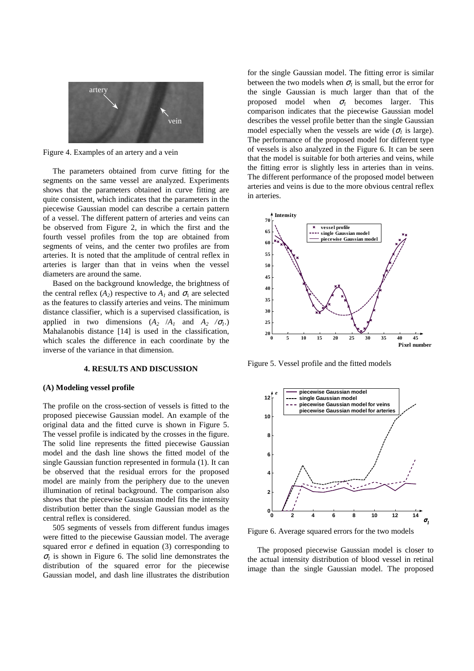

Figure 4. Examples of an artery and a vein

The parameters obtained from curve fitting for the segments on the same vessel are analyzed. Experiments shows that the parameters obtained in curve fitting are quite consistent, which indicates that the parameters in the piecewise Gaussian model can describe a certain pattern of a vessel. The different pattern of arteries and veins can be observed from Figure 2, in which the first and the fourth vessel profiles from the top are obtained from segments of veins, and the center two profiles are from arteries. It is noted that the amplitude of central reflex in arteries is larger than that in veins when the vessel diameters are around the same.

Based on the background knowledge, the brightness of the central reflex  $(A_2)$  respective to  $A_1$  and  $\sigma_1$  are selected as the features to classify arteries and veins. The minimum distance classifier, which is a supervised classification, is applied in two dimensions  $(A_2 / A_1$  and  $A_2 / \sigma_1$ .) Mahalanobis distance [14] is used in the classification, which scales the difference in each coordinate by the inverse of the variance in that dimension.

#### **4. RESULTS AND DISCUSSION**

## **(A) Modeling vessel profile**

The profile on the cross-section of vessels is fitted to the proposed piecewise Gaussian model. An example of the original data and the fitted curve is shown in Figure 5. The vessel profile is indicated by the crosses in the figure. The solid line represents the fitted piecewise Gaussian model and the dash line shows the fitted model of the single Gaussian function represented in formula (1). It can be observed that the residual errors for the proposed model are mainly from the periphery due to the uneven illumination of retinal background. The comparison also shows that the piecewise Gaussian model fits the intensity distribution better than the single Gaussian model as the central reflex is considered.

505 segments of vessels from different fundus images were fitted to the piecewise Gaussian model. The average squared error *e* defined in equation (3) corresponding to  $\sigma_l$  is shown in Figure 6. The solid line demonstrates the distribution of the squared error for the piecewise Gaussian model, and dash line illustrates the distribution for the single Gaussian model. The fitting error is similar between the two models when  $\sigma_l$  is small, but the error for the single Gaussian is much larger than that of the proposed model when  $\sigma_l$  becomes larger. This comparison indicates that the piecewise Gaussian model describes the vessel profile better than the single Gaussian model especially when the vessels are wide ( $\sigma$ <sub>*i*</sub> is large). The performance of the proposed model for different type of vessels is also analyzed in the Figure 6. It can be seen that the model is suitable for both arteries and veins, while the fitting error is slightly less in arteries than in veins. The different performance of the proposed model between arteries and veins is due to the more obvious central reflex in arteries.



Figure 5. Vessel profile and the fitted models



Figure 6. Average squared errors for the two models

The proposed piecewise Gaussian model is closer to the actual intensity distribution of blood vessel in retinal image than the single Gaussian model. The proposed